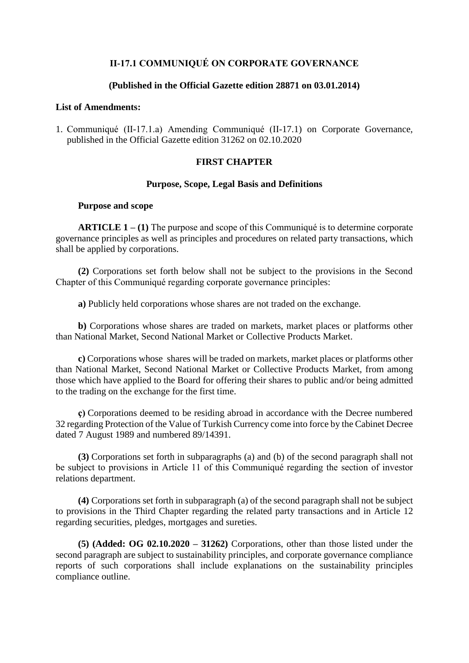## **II-17.1 COMMUNIQUÉ ON CORPORATE GOVERNANCE**

#### **(Published in the Official Gazette edition 28871 on 03.01.2014)**

#### **List of Amendments:**

1. Communiqué (II-17.1.a) Amending Communiqué (II-17.1) on Corporate Governance, published in the Official Gazette edition 31262 on 02.10.2020

## **FIRST CHAPTER**

#### **Purpose, Scope, Legal Basis and Definitions**

#### **Purpose and scope**

**ARTICLE 1 – (1)** The purpose and scope of this Communiqué is to determine corporate governance principles as well as principles and procedures on related party transactions, which shall be applied by corporations.

**(2)** Corporations set forth below shall not be subject to the provisions in the Second Chapter of this Communiqué regarding corporate governance principles:

**a)** Publicly held corporations whose shares are not traded on the exchange.

**b)** Corporations whose shares are traded on markets, market places or platforms other than National Market, Second National Market or Collective Products Market.

**c)** Corporations whose shares will be traded on markets, market places or platforms other than National Market, Second National Market or Collective Products Market, from among those which have applied to the Board for offering their shares to public and/or being admitted to the trading on the exchange for the first time.

**ç)** Corporations deemed to be residing abroad in accordance with the Decree numbered 32 regarding Protection of the Value of Turkish Currency come into force by the Cabinet Decree dated 7 August 1989 and numbered 89/14391.

**(3)** Corporations set forth in subparagraphs (a) and (b) of the second paragraph shall not be subject to provisions in Article 11 of this Communiqué regarding the section of investor relations department.

**(4)** Corporations set forth in subparagraph (a) of the second paragraph shall not be subject to provisions in the Third Chapter regarding the related party transactions and in Article 12 regarding securities, pledges, mortgages and sureties.

**(5) (Added: OG 02.10.2020 – 31262)** Corporations, other than those listed under the second paragraph are subject to sustainability principles, and corporate governance compliance reports of such corporations shall include explanations on the sustainability principles compliance outline.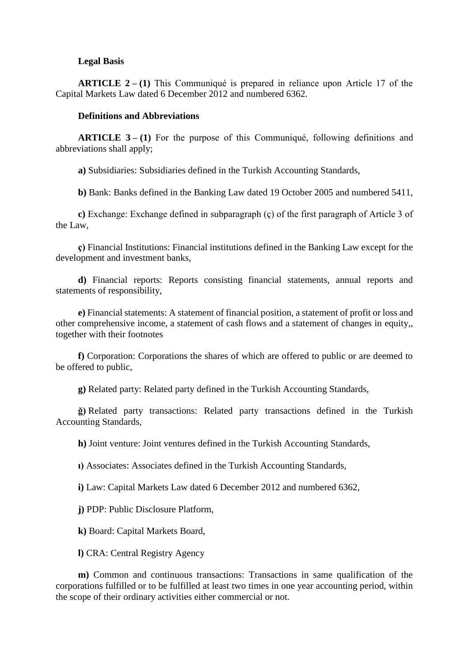### **Legal Basis**

**ARTICLE 2 – (1)** This Communiqué is prepared in reliance upon Article 17 of the Capital Markets Law dated 6 December 2012 and numbered 6362.

### **Definitions and Abbreviations**

**ARTICLE 3 – (1)** For the purpose of this Communiqué, following definitions and abbreviations shall apply;

**a)** Subsidiaries: Subsidiaries defined in the Turkish Accounting Standards,

**b)** Bank: Banks defined in the Banking Law dated 19 October 2005 and numbered 5411,

**c)** Exchange: Exchange defined in subparagraph (ç) of the first paragraph of Article 3 of the Law,

**ç)** Financial Institutions: Financial institutions defined in the Banking Law except for the development and investment banks,

**d)** Financial reports: Reports consisting financial statements, annual reports and statements of responsibility,

**e)** Financial statements: A statement of financial position, a statement of profit or loss and other comprehensive income, a statement of cash flows and a statement of changes in equity,, together with their footnotes

**f)** Corporation: Corporations the shares of which are offered to public or are deemed to be offered to public,

**g)** Related party: Related party defined in the Turkish Accounting Standards,

**ğ)** Related party transactions: Related party transactions defined in the Turkish Accounting Standards,

**h)** Joint venture: Joint ventures defined in the Turkish Accounting Standards,

**ı)** Associates: Associates defined in the Turkish Accounting Standards,

**i)** Law: Capital Markets Law dated 6 December 2012 and numbered 6362,

**j)** PDP: Public Disclosure Platform,

**k)** Board: Capital Markets Board,

**l)** CRA: Central Registry Agency

**m)** Common and continuous transactions: Transactions in same qualification of the corporations fulfilled or to be fulfilled at least two times in one year accounting period, within the scope of their ordinary activities either commercial or not.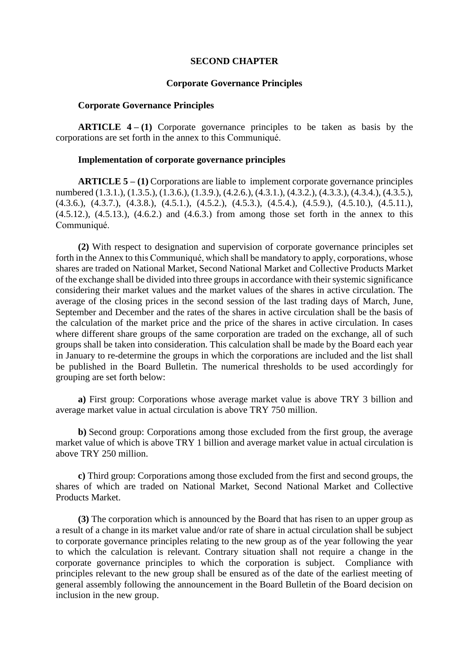### **SECOND CHAPTER**

### **Corporate Governance Principles**

#### **Corporate Governance Principles**

**ARTICLE 4–(1)** Corporate governance principles to be taken as basis by the corporations are set forth in the annex to this Communiqué.

### **Implementation of corporate governance principles**

**ARTICLE 5 – (1)** Corporations are liable to implement corporate governance principles numbered (1.3.1.), (1.3.5.), (1.3.6.), (1.3.9.), (4.2.6.), (4.3.1.), (4.3.2.), (4.3.3.), (4.3.4.), (4.3.5.),  $(4.3.6), (4.3.7), (4.3.8), (4.5.1), (4.5.2), (4.5.3), (4.5.4), (4.5.9), (4.5.10), (4.5.11),$  $(4.5.12)$ ,  $(4.5.13)$ ,  $(4.6.2)$  and  $(4.6.3)$  from among those set forth in the annex to this Communiqué.

**(2)** With respect to designation and supervision of corporate governance principles set forth in the Annex to this Communiqué, which shall be mandatory to apply, corporations, whose shares are traded on National Market, Second National Market and Collective Products Market of the exchange shall be divided into three groups in accordance with their systemic significance considering their market values and the market values of the shares in active circulation. The average of the closing prices in the second session of the last trading days of March, June, September and December and the rates of the shares in active circulation shall be the basis of the calculation of the market price and the price of the shares in active circulation. In cases where different share groups of the same corporation are traded on the exchange, all of such groups shall be taken into consideration. This calculation shall be made by the Board each year in January to re-determine the groups in which the corporations are included and the list shall be published in the Board Bulletin. The numerical thresholds to be used accordingly for grouping are set forth below:

**a)** First group: Corporations whose average market value is above TRY 3 billion and average market value in actual circulation is above TRY 750 million.

**b)** Second group: Corporations among those excluded from the first group, the average market value of which is above TRY 1 billion and average market value in actual circulation is above TRY 250 million.

**c)** Third group: Corporations among those excluded from the first and second groups, the shares of which are traded on National Market, Second National Market and Collective Products Market.

**(3)** The corporation which is announced by the Board that has risen to an upper group as a result of a change in its market value and/or rate of share in actual circulation shall be subject to corporate governance principles relating to the new group as of the year following the year to which the calculation is relevant. Contrary situation shall not require a change in the corporate governance principles to which the corporation is subject. Compliance with principles relevant to the new group shall be ensured as of the date of the earliest meeting of general assembly following the announcement in the Board Bulletin of the Board decision on inclusion in the new group.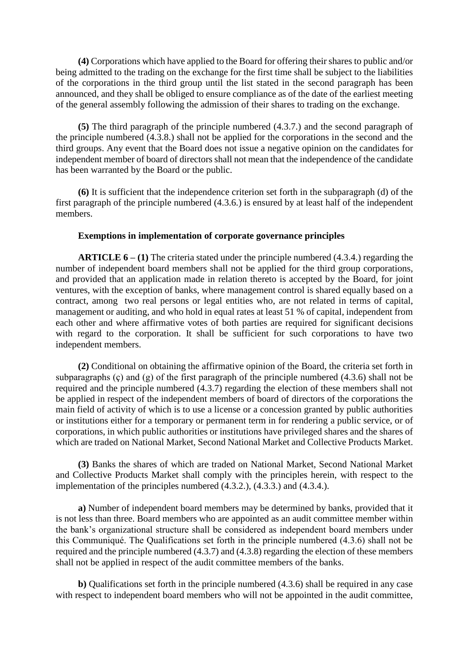**(4)** Corporations which have applied to the Board for offering their shares to public and/or being admitted to the trading on the exchange for the first time shall be subject to the liabilities of the corporations in the third group until the list stated in the second paragraph has been announced, and they shall be obliged to ensure compliance as of the date of the earliest meeting of the general assembly following the admission of their shares to trading on the exchange.

**(5)** The third paragraph of the principle numbered (4.3.7.) and the second paragraph of the principle numbered (4.3.8.) shall not be applied for the corporations in the second and the third groups. Any event that the Board does not issue a negative opinion on the candidates for independent member of board of directors shall not mean that the independence of the candidate has been warranted by the Board or the public.

**(6)** It is sufficient that the independence criterion set forth in the subparagraph (d) of the first paragraph of the principle numbered (4.3.6.) is ensured by at least half of the independent members.

### **Exemptions in implementation of corporate governance principles**

**ARTICLE 6 – (1)** The criteria stated under the principle numbered (4.3.4.) regarding the number of independent board members shall not be applied for the third group corporations, and provided that an application made in relation thereto is accepted by the Board, for joint ventures, with the exception of banks, where management control is shared equally based on a contract, among two real persons or legal entities who, are not related in terms of capital, management or auditing, and who hold in equal rates at least 51 % of capital, independent from each other and where affirmative votes of both parties are required for significant decisions with regard to the corporation. It shall be sufficient for such corporations to have two independent members.

**(2)** Conditional on obtaining the affirmative opinion of the Board, the criteria set forth in subparagraphs  $(c)$  and  $(g)$  of the first paragraph of the principle numbered  $(4.3.6)$  shall not be required and the principle numbered (4.3.7) regarding the election of these members shall not be applied in respect of the independent members of board of directors of the corporations the main field of activity of which is to use a license or a concession granted by public authorities or institutions either for a temporary or permanent term in for rendering a public service, or of corporations, in which public authorities or institutions have privileged shares and the shares of which are traded on National Market, Second National Market and Collective Products Market.

**(3)** Banks the shares of which are traded on National Market, Second National Market and Collective Products Market shall comply with the principles herein, with respect to the implementation of the principles numbered (4.3.2.), (4.3.3.) and (4.3.4.).

**a)** Number of independent board members may be determined by banks, provided that it is not less than three. Board members who are appointed as an audit committee member within the bank's organizational structure shall be considered as independent board members under this Communiqué. The Qualifications set forth in the principle numbered (4.3.6) shall not be required and the principle numbered (4.3.7) and (4.3.8) regarding the election of these members shall not be applied in respect of the audit committee members of the banks.

**b)** Qualifications set forth in the principle numbered (4.3.6) shall be required in any case with respect to independent board members who will not be appointed in the audit committee,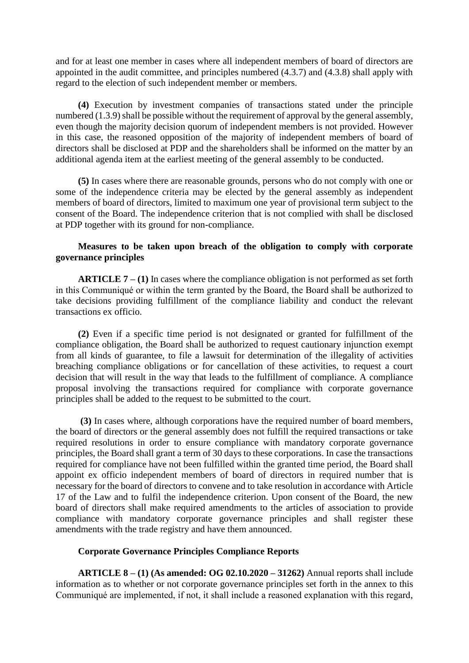and for at least one member in cases where all independent members of board of directors are appointed in the audit committee, and principles numbered (4.3.7) and (4.3.8) shall apply with regard to the election of such independent member or members.

**(4)** Execution by investment companies of transactions stated under the principle numbered (1.3.9) shall be possible without the requirement of approval by the general assembly, even though the majority decision quorum of independent members is not provided. However in this case, the reasoned opposition of the majority of independent members of board of directors shall be disclosed at PDP and the shareholders shall be informed on the matter by an additional agenda item at the earliest meeting of the general assembly to be conducted.

**(5)** In cases where there are reasonable grounds, persons who do not comply with one or some of the independence criteria may be elected by the general assembly as independent members of board of directors, limited to maximum one year of provisional term subject to the consent of the Board. The independence criterion that is not complied with shall be disclosed at PDP together with its ground for non-compliance.

# **Measures to be taken upon breach of the obligation to comply with corporate governance principles**

**ARTICLE 7 – (1)** In cases where the compliance obligation is not performed as set forth in this Communiqué or within the term granted by the Board, the Board shall be authorized to take decisions providing fulfillment of the compliance liability and conduct the relevant transactions ex officio.

**(2)** Even if a specific time period is not designated or granted for fulfillment of the compliance obligation, the Board shall be authorized to request cautionary injunction exempt from all kinds of guarantee, to file a lawsuit for determination of the illegality of activities breaching compliance obligations or for cancellation of these activities, to request a court decision that will result in the way that leads to the fulfillment of compliance. A compliance proposal involving the transactions required for compliance with corporate governance principles shall be added to the request to be submitted to the court.

**(3)** In cases where, although corporations have the required number of board members, the board of directors or the general assembly does not fulfill the required transactions or take required resolutions in order to ensure compliance with mandatory corporate governance principles, the Board shall grant a term of 30 days to these corporations. In case the transactions required for compliance have not been fulfilled within the granted time period, the Board shall appoint ex officio independent members of board of directors in required number that is necessary for the board of directors to convene and to take resolution in accordance with Article 17 of the Law and to fulfil the independence criterion. Upon consent of the Board, the new board of directors shall make required amendments to the articles of association to provide compliance with mandatory corporate governance principles and shall register these amendments with the trade registry and have them announced.

### **Corporate Governance Principles Compliance Reports**

**ARTICLE 8 – (1) (As amended: OG 02.10.2020 – 31262)** Annual reports shall include information as to whether or not corporate governance principles set forth in the annex to this Communiqué are implemented, if not, it shall include a reasoned explanation with this regard,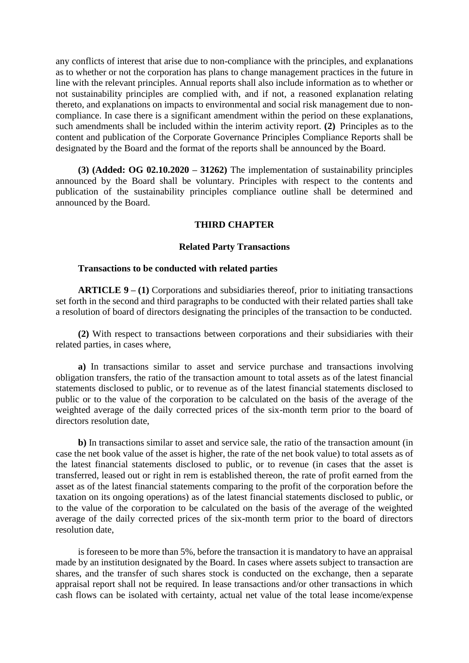any conflicts of interest that arise due to non-compliance with the principles, and explanations as to whether or not the corporation has plans to change management practices in the future in line with the relevant principles. Annual reports shall also include information as to whether or not sustainability principles are complied with, and if not, a reasoned explanation relating thereto, and explanations on impacts to environmental and social risk management due to noncompliance. In case there is a significant amendment within the period on these explanations, such amendments shall be included within the interim activity report. **(2)** Principles as to the content and publication of the Corporate Governance Principles Compliance Reports shall be designated by the Board and the format of the reports shall be announced by the Board.

**(3) (Added: OG 02.10.2020 – 31262)** The implementation of sustainability principles announced by the Board shall be voluntary. Principles with respect to the contents and publication of the sustainability principles compliance outline shall be determined and announced by the Board.

### **THIRD CHAPTER**

#### **Related Party Transactions**

#### **Transactions to be conducted with related parties**

**ARTICLE 9 – (1)** Corporations and subsidiaries thereof, prior to initiating transactions set forth in the second and third paragraphs to be conducted with their related parties shall take a resolution of board of directors designating the principles of the transaction to be conducted.

**(2)** With respect to transactions between corporations and their subsidiaries with their related parties, in cases where,

**a)** In transactions similar to asset and service purchase and transactions involving obligation transfers, the ratio of the transaction amount to total assets as of the latest financial statements disclosed to public, or to revenue as of the latest financial statements disclosed to public or to the value of the corporation to be calculated on the basis of the average of the weighted average of the daily corrected prices of the six-month term prior to the board of directors resolution date,

**b)** In transactions similar to asset and service sale, the ratio of the transaction amount (in case the net book value of the asset is higher, the rate of the net book value) to total assets as of the latest financial statements disclosed to public, or to revenue (in cases that the asset is transferred, leased out or right in rem is established thereon, the rate of profit earned from the asset as of the latest financial statements comparing to the profit of the corporation before the taxation on its ongoing operations) as of the latest financial statements disclosed to public, or to the value of the corporation to be calculated on the basis of the average of the weighted average of the daily corrected prices of the six-month term prior to the board of directors resolution date,

is foreseen to be more than 5%, before the transaction it is mandatory to have an appraisal made by an institution designated by the Board. In cases where assets subject to transaction are shares, and the transfer of such shares stock is conducted on the exchange, then a separate appraisal report shall not be required. In lease transactions and/or other transactions in which cash flows can be isolated with certainty, actual net value of the total lease income/expense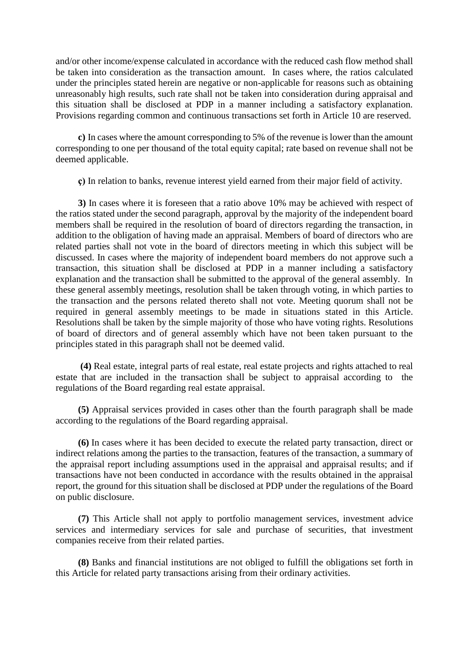and/or other income/expense calculated in accordance with the reduced cash flow method shall be taken into consideration as the transaction amount. In cases where, the ratios calculated under the principles stated herein are negative or non-applicable for reasons such as obtaining unreasonably high results, such rate shall not be taken into consideration during appraisal and this situation shall be disclosed at PDP in a manner including a satisfactory explanation. Provisions regarding common and continuous transactions set forth in Article 10 are reserved.

**c)** In cases where the amount corresponding to 5% of the revenue is lower than the amount corresponding to one per thousand of the total equity capital; rate based on revenue shall not be deemed applicable.

**ç)** In relation to banks, revenue interest yield earned from their major field of activity.

**3)** In cases where it is foreseen that a ratio above 10% may be achieved with respect of the ratios stated under the second paragraph, approval by the majority of the independent board members shall be required in the resolution of board of directors regarding the transaction, in addition to the obligation of having made an appraisal. Members of board of directors who are related parties shall not vote in the board of directors meeting in which this subject will be discussed. In cases where the majority of independent board members do not approve such a transaction, this situation shall be disclosed at PDP in a manner including a satisfactory explanation and the transaction shall be submitted to the approval of the general assembly. In these general assembly meetings, resolution shall be taken through voting, in which parties to the transaction and the persons related thereto shall not vote. Meeting quorum shall not be required in general assembly meetings to be made in situations stated in this Article. Resolutions shall be taken by the simple majority of those who have voting rights. Resolutions of board of directors and of general assembly which have not been taken pursuant to the principles stated in this paragraph shall not be deemed valid.

**(4)** Real estate, integral parts of real estate, real estate projects and rights attached to real estate that are included in the transaction shall be subject to appraisal according to the regulations of the Board regarding real estate appraisal.

**(5)** Appraisal services provided in cases other than the fourth paragraph shall be made according to the regulations of the Board regarding appraisal.

**(6)** In cases where it has been decided to execute the related party transaction, direct or indirect relations among the parties to the transaction, features of the transaction, a summary of the appraisal report including assumptions used in the appraisal and appraisal results; and if transactions have not been conducted in accordance with the results obtained in the appraisal report, the ground for this situation shall be disclosed at PDP under the regulations of the Board on public disclosure.

**(7)** This Article shall not apply to portfolio management services, investment advice services and intermediary services for sale and purchase of securities, that investment companies receive from their related parties.

**(8)** Banks and financial institutions are not obliged to fulfill the obligations set forth in this Article for related party transactions arising from their ordinary activities.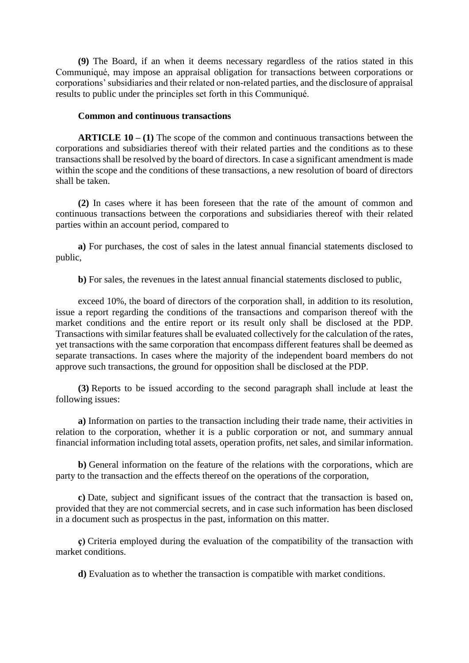**(9)** The Board, if an when it deems necessary regardless of the ratios stated in this Communiqué, may impose an appraisal obligation for transactions between corporations or corporations' subsidiaries and their related or non-related parties, and the disclosure of appraisal results to public under the principles set forth in this Communiqué.

### **Common and continuous transactions**

**ARTICLE 10 – (1)** The scope of the common and continuous transactions between the corporations and subsidiaries thereof with their related parties and the conditions as to these transactions shall be resolved by the board of directors. In case a significant amendment is made within the scope and the conditions of these transactions, a new resolution of board of directors shall be taken.

**(2)** In cases where it has been foreseen that the rate of the amount of common and continuous transactions between the corporations and subsidiaries thereof with their related parties within an account period, compared to

**a)** For purchases, the cost of sales in the latest annual financial statements disclosed to public,

**b)** For sales, the revenues in the latest annual financial statements disclosed to public,

exceed 10%, the board of directors of the corporation shall, in addition to its resolution, issue a report regarding the conditions of the transactions and comparison thereof with the market conditions and the entire report or its result only shall be disclosed at the PDP. Transactions with similar features shall be evaluated collectively for the calculation of the rates, yet transactions with the same corporation that encompass different features shall be deemed as separate transactions. In cases where the majority of the independent board members do not approve such transactions, the ground for opposition shall be disclosed at the PDP.

**(3)** Reports to be issued according to the second paragraph shall include at least the following issues:

**a)** Information on parties to the transaction including their trade name, their activities in relation to the corporation, whether it is a public corporation or not, and summary annual financial information including total assets, operation profits, net sales, and similar information.

**b)** General information on the feature of the relations with the corporations, which are party to the transaction and the effects thereof on the operations of the corporation,

**c)** Date, subject and significant issues of the contract that the transaction is based on, provided that they are not commercial secrets, and in case such information has been disclosed in a document such as prospectus in the past, information on this matter.

**ç)** Criteria employed during the evaluation of the compatibility of the transaction with market conditions.

**d)** Evaluation as to whether the transaction is compatible with market conditions.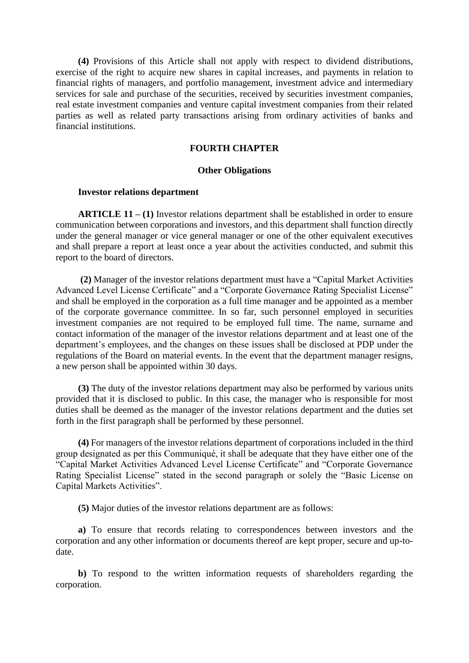**(4)** Provisions of this Article shall not apply with respect to dividend distributions, exercise of the right to acquire new shares in capital increases, and payments in relation to financial rights of managers, and portfolio management, investment advice and intermediary services for sale and purchase of the securities, received by securities investment companies, real estate investment companies and venture capital investment companies from their related parties as well as related party transactions arising from ordinary activities of banks and financial institutions.

### **FOURTH CHAPTER**

#### **Other Obligations**

#### **Investor relations department**

**ARTICLE 11 – (1)** Investor relations department shall be established in order to ensure communication between corporations and investors, and this department shall function directly under the general manager or vice general manager or one of the other equivalent executives and shall prepare a report at least once a year about the activities conducted, and submit this report to the board of directors.

**(2)** Manager of the investor relations department must have a "Capital Market Activities Advanced Level License Certificate" and a "Corporate Governance Rating Specialist License" and shall be employed in the corporation as a full time manager and be appointed as a member of the corporate governance committee. In so far, such personnel employed in securities investment companies are not required to be employed full time. The name, surname and contact information of the manager of the investor relations department and at least one of the department's employees, and the changes on these issues shall be disclosed at PDP under the regulations of the Board on material events. In the event that the department manager resigns, a new person shall be appointed within 30 days.

**(3)** The duty of the investor relations department may also be performed by various units provided that it is disclosed to public. In this case, the manager who is responsible for most duties shall be deemed as the manager of the investor relations department and the duties set forth in the first paragraph shall be performed by these personnel.

**(4)** For managers of the investor relations department of corporations included in the third group designated as per this Communiqué, it shall be adequate that they have either one of the "Capital Market Activities Advanced Level License Certificate" and "Corporate Governance Rating Specialist License" stated in the second paragraph or solely the "Basic License on Capital Markets Activities".

**(5)** Major duties of the investor relations department are as follows:

**a)** To ensure that records relating to correspondences between investors and the corporation and any other information or documents thereof are kept proper, secure and up-todate.

**b)** To respond to the written information requests of shareholders regarding the corporation.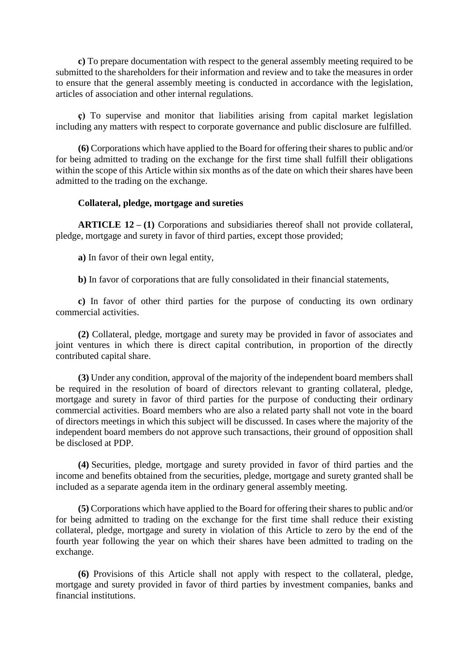**c)** To prepare documentation with respect to the general assembly meeting required to be submitted to the shareholders for their information and review and to take the measures in order to ensure that the general assembly meeting is conducted in accordance with the legislation, articles of association and other internal regulations.

**ç)** To supervise and monitor that liabilities arising from capital market legislation including any matters with respect to corporate governance and public disclosure are fulfilled.

**(6)** Corporations which have applied to the Board for offering their shares to public and/or for being admitted to trading on the exchange for the first time shall fulfill their obligations within the scope of this Article within six months as of the date on which their shares have been admitted to the trading on the exchange.

## **Collateral, pledge, mortgage and sureties**

**ARTICLE 12 – (1)** Corporations and subsidiaries thereof shall not provide collateral, pledge, mortgage and surety in favor of third parties, except those provided;

**a)** In favor of their own legal entity,

**b)** In favor of corporations that are fully consolidated in their financial statements,

**c)** In favor of other third parties for the purpose of conducting its own ordinary commercial activities.

**(2)** Collateral, pledge, mortgage and surety may be provided in favor of associates and joint ventures in which there is direct capital contribution, in proportion of the directly contributed capital share.

**(3)** Under any condition, approval of the majority of the independent board members shall be required in the resolution of board of directors relevant to granting collateral, pledge, mortgage and surety in favor of third parties for the purpose of conducting their ordinary commercial activities. Board members who are also a related party shall not vote in the board of directors meetings in which this subject will be discussed. In cases where the majority of the independent board members do not approve such transactions, their ground of opposition shall be disclosed at PDP.

**(4)** Securities, pledge, mortgage and surety provided in favor of third parties and the income and benefits obtained from the securities, pledge, mortgage and surety granted shall be included as a separate agenda item in the ordinary general assembly meeting.

**(5)** Corporations which have applied to the Board for offering their shares to public and/or for being admitted to trading on the exchange for the first time shall reduce their existing collateral, pledge, mortgage and surety in violation of this Article to zero by the end of the fourth year following the year on which their shares have been admitted to trading on the exchange.

**(6)** Provisions of this Article shall not apply with respect to the collateral, pledge, mortgage and surety provided in favor of third parties by investment companies, banks and financial institutions.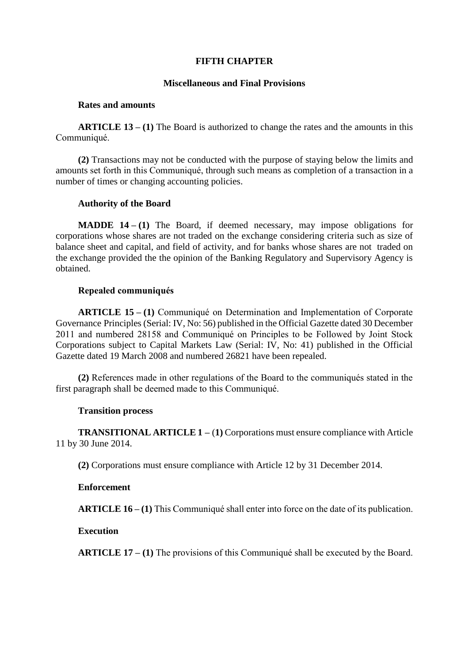### **FIFTH CHAPTER**

### **Miscellaneous and Final Provisions**

### **Rates and amounts**

**ARTICLE 13 – (1)** The Board is authorized to change the rates and the amounts in this Communiqué.

**(2)** Transactions may not be conducted with the purpose of staying below the limits and amounts set forth in this Communiqué, through such means as completion of a transaction in a number of times or changing accounting policies.

### **Authority of the Board**

**MADDE 14 – (1)** The Board, if deemed necessary, may impose obligations for corporations whose shares are not traded on the exchange considering criteria such as size of balance sheet and capital, and field of activity, and for banks whose shares are not traded on the exchange provided the the opinion of the Banking Regulatory and Supervisory Agency is obtained.

## **Repealed communiqués**

**ARTICLE 15 – (1)** Communiqué on Determination and Implementation of Corporate Governance Principles (Serial: IV, No: 56) published in the Official Gazette dated 30 December 2011 and numbered 28158 and Communiqué on Principles to be Followed by Joint Stock Corporations subject to Capital Markets Law (Serial: IV, No: 41) published in the Official Gazette dated 19 March 2008 and numbered 26821 have been repealed.

**(2)** References made in other regulations of the Board to the communiqués stated in the first paragraph shall be deemed made to this Communiqué.

### **Transition process**

**TRANSITIONAL ARTICLE 1 –** (**1)** Corporations must ensure compliance with Article 11 by 30 June 2014.

**(2)** Corporations must ensure compliance with Article 12 by 31 December 2014.

### **Enforcement**

**ARTICLE 16 – (1)** This Communiqué shall enter into force on the date of its publication.

### **Execution**

**ARTICLE 17 – (1)** The provisions of this Communiqué shall be executed by the Board.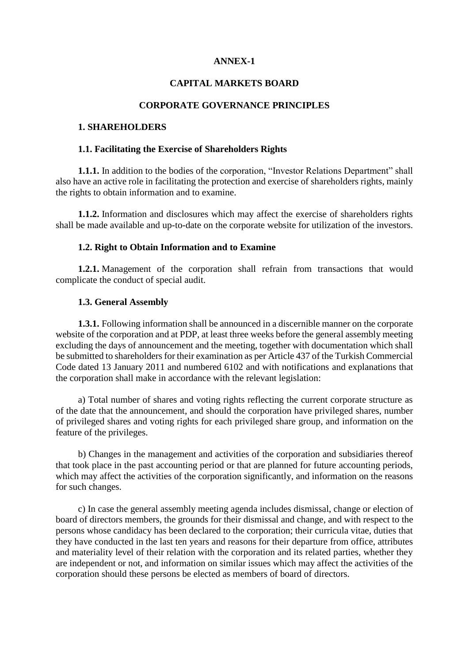# **ANNEX-1**

# **CAPITAL MARKETS BOARD**

#### **CORPORATE GOVERNANCE PRINCIPLES**

# **1. SHAREHOLDERS**

#### **1.1. Facilitating the Exercise of Shareholders Rights**

**1.1.1.** In addition to the bodies of the corporation, "Investor Relations Department" shall also have an active role in facilitating the protection and exercise of shareholders rights, mainly the rights to obtain information and to examine.

**1.1.2.** Information and disclosures which may affect the exercise of shareholders rights shall be made available and up-to-date on the corporate website for utilization of the investors.

### **1.2. Right to Obtain Information and to Examine**

**1.2.1.** Management of the corporation shall refrain from transactions that would complicate the conduct of special audit.

#### **1.3. General Assembly**

**1.3.1.** Following information shall be announced in a discernible manner on the corporate website of the corporation and at PDP, at least three weeks before the general assembly meeting excluding the days of announcement and the meeting, together with documentation which shall be submitted to shareholders for their examination as per Article 437 of the Turkish Commercial Code dated 13 January 2011 and numbered 6102 and with notifications and explanations that the corporation shall make in accordance with the relevant legislation:

a) Total number of shares and voting rights reflecting the current corporate structure as of the date that the announcement, and should the corporation have privileged shares, number of privileged shares and voting rights for each privileged share group, and information on the feature of the privileges.

b) Changes in the management and activities of the corporation and subsidiaries thereof that took place in the past accounting period or that are planned for future accounting periods, which may affect the activities of the corporation significantly, and information on the reasons for such changes.

c) In case the general assembly meeting agenda includes dismissal, change or election of board of directors members, the grounds for their dismissal and change, and with respect to the persons whose candidacy has been declared to the corporation; their curricula vitae, duties that they have conducted in the last ten years and reasons for their departure from office, attributes and materiality level of their relation with the corporation and its related parties, whether they are independent or not, and information on similar issues which may affect the activities of the corporation should these persons be elected as members of board of directors.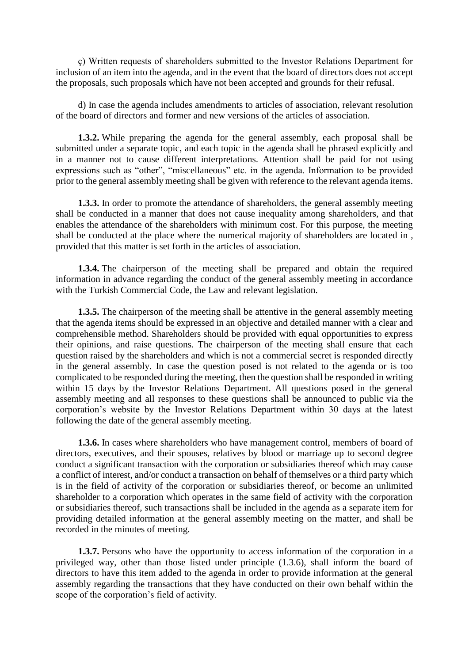ç) Written requests of shareholders submitted to the Investor Relations Department for inclusion of an item into the agenda, and in the event that the board of directors does not accept the proposals, such proposals which have not been accepted and grounds for their refusal.

d) In case the agenda includes amendments to articles of association, relevant resolution of the board of directors and former and new versions of the articles of association.

**1.3.2.** While preparing the agenda for the general assembly, each proposal shall be submitted under a separate topic, and each topic in the agenda shall be phrased explicitly and in a manner not to cause different interpretations. Attention shall be paid for not using expressions such as "other", "miscellaneous" etc. in the agenda. Information to be provided prior to the general assembly meeting shall be given with reference to the relevant agenda items.

**1.3.3.** In order to promote the attendance of shareholders, the general assembly meeting shall be conducted in a manner that does not cause inequality among shareholders, and that enables the attendance of the shareholders with minimum cost. For this purpose, the meeting shall be conducted at the place where the numerical majority of shareholders are located in , provided that this matter is set forth in the articles of association.

**1.3.4.** The chairperson of the meeting shall be prepared and obtain the required information in advance regarding the conduct of the general assembly meeting in accordance with the Turkish Commercial Code, the Law and relevant legislation.

**1.3.5.** The chairperson of the meeting shall be attentive in the general assembly meeting that the agenda items should be expressed in an objective and detailed manner with a clear and comprehensible method. Shareholders should be provided with equal opportunities to express their opinions, and raise questions. The chairperson of the meeting shall ensure that each question raised by the shareholders and which is not a commercial secret is responded directly in the general assembly. In case the question posed is not related to the agenda or is too complicated to be responded during the meeting, then the question shall be responded in writing within 15 days by the Investor Relations Department. All questions posed in the general assembly meeting and all responses to these questions shall be announced to public via the corporation's website by the Investor Relations Department within 30 days at the latest following the date of the general assembly meeting.

**1.3.6.** In cases where shareholders who have management control, members of board of directors, executives, and their spouses, relatives by blood or marriage up to second degree conduct a significant transaction with the corporation or subsidiaries thereof which may cause a conflict of interest, and/or conduct a transaction on behalf of themselves or a third party which is in the field of activity of the corporation or subsidiaries thereof, or become an unlimited shareholder to a corporation which operates in the same field of activity with the corporation or subsidiaries thereof, such transactions shall be included in the agenda as a separate item for providing detailed information at the general assembly meeting on the matter, and shall be recorded in the minutes of meeting.

**1.3.7.** Persons who have the opportunity to access information of the corporation in a privileged way, other than those listed under principle (1.3.6), shall inform the board of directors to have this item added to the agenda in order to provide information at the general assembly regarding the transactions that they have conducted on their own behalf within the scope of the corporation's field of activity.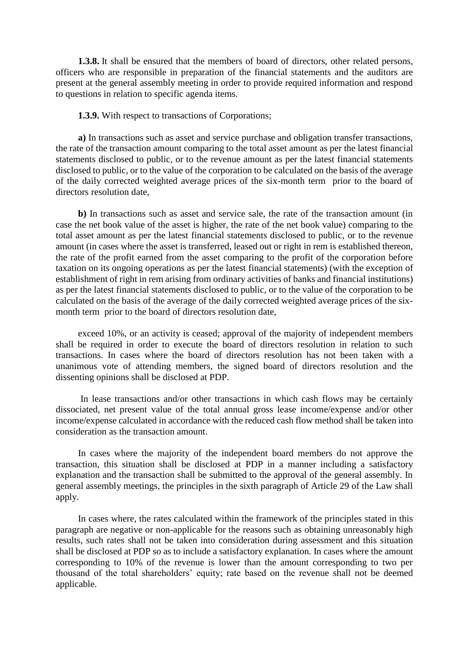**1.3.8.** It shall be ensured that the members of board of directors, other related persons, officers who are responsible in preparation of the financial statements and the auditors are present at the general assembly meeting in order to provide required information and respond to questions in relation to specific agenda items.

**1.3.9.** With respect to transactions of Corporations;

**a)** In transactions such as asset and service purchase and obligation transfer transactions, the rate of the transaction amount comparing to the total asset amount as per the latest financial statements disclosed to public, or to the revenue amount as per the latest financial statements disclosed to public, or to the value of the corporation to be calculated on the basis of the average of the daily corrected weighted average prices of the six-month term prior to the board of directors resolution date,

**b)** In transactions such as asset and service sale, the rate of the transaction amount (in case the net book value of the asset is higher, the rate of the net book value) comparing to the total asset amount as per the latest financial statements disclosed to public, or to the revenue amount (in cases where the asset is transferred, leased out or right in rem is established thereon, the rate of the profit earned from the asset comparing to the profit of the corporation before taxation on its ongoing operations as per the latest financial statements) (with the exception of establishment of right in rem arising from ordinary activities of banks and financial institutions) as per the latest financial statements disclosed to public, or to the value of the corporation to be calculated on the basis of the average of the daily corrected weighted average prices of the sixmonth term prior to the board of directors resolution date,

exceed 10%, or an activity is ceased; approval of the majority of independent members shall be required in order to execute the board of directors resolution in relation to such transactions. In cases where the board of directors resolution has not been taken with a unanimous vote of attending members, the signed board of directors resolution and the dissenting opinions shall be disclosed at PDP.

In lease transactions and/or other transactions in which cash flows may be certainly dissociated, net present value of the total annual gross lease income/expense and/or other income/expense calculated in accordance with the reduced cash flow method shall be taken into consideration as the transaction amount.

In cases where the majority of the independent board members do not approve the transaction, this situation shall be disclosed at PDP in a manner including a satisfactory explanation and the transaction shall be submitted to the approval of the general assembly. In general assembly meetings, the principles in the sixth paragraph of Article 29 of the Law shall apply.

In cases where, the rates calculated within the framework of the principles stated in this paragraph are negative or non-applicable for the reasons such as obtaining unreasonably high results, such rates shall not be taken into consideration during assessment and this situation shall be disclosed at PDP so as to include a satisfactory explanation. In cases where the amount corresponding to 10% of the revenue is lower than the amount corresponding to two per thousand of the total shareholders' equity; rate based on the revenue shall not be deemed applicable.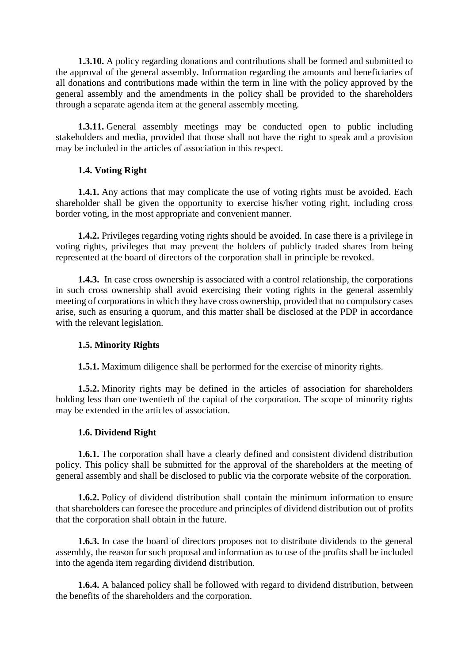**1.3.10.** A policy regarding donations and contributions shall be formed and submitted to the approval of the general assembly. Information regarding the amounts and beneficiaries of all donations and contributions made within the term in line with the policy approved by the general assembly and the amendments in the policy shall be provided to the shareholders through a separate agenda item at the general assembly meeting.

**1.3.11.** General assembly meetings may be conducted open to public including stakeholders and media, provided that those shall not have the right to speak and a provision may be included in the articles of association in this respect.

# **1.4. Voting Right**

**1.4.1.** Any actions that may complicate the use of voting rights must be avoided. Each shareholder shall be given the opportunity to exercise his/her voting right, including cross border voting, in the most appropriate and convenient manner.

**1.4.2.** Privileges regarding voting rights should be avoided. In case there is a privilege in voting rights, privileges that may prevent the holders of publicly traded shares from being represented at the board of directors of the corporation shall in principle be revoked.

**1.4.3.** In case cross ownership is associated with a control relationship, the corporations in such cross ownership shall avoid exercising their voting rights in the general assembly meeting of corporations in which they have cross ownership, provided that no compulsory cases arise, such as ensuring a quorum, and this matter shall be disclosed at the PDP in accordance with the relevant legislation.

# **1.5. Minority Rights**

**1.5.1.** Maximum diligence shall be performed for the exercise of minority rights.

**1.5.2.** Minority rights may be defined in the articles of association for shareholders holding less than one twentieth of the capital of the corporation. The scope of minority rights may be extended in the articles of association.

# **1.6. Dividend Right**

**1.6.1.** The corporation shall have a clearly defined and consistent dividend distribution policy. This policy shall be submitted for the approval of the shareholders at the meeting of general assembly and shall be disclosed to public via the corporate website of the corporation.

**1.6.2.** Policy of dividend distribution shall contain the minimum information to ensure that shareholders can foresee the procedure and principles of dividend distribution out of profits that the corporation shall obtain in the future.

**1.6.3.** In case the board of directors proposes not to distribute dividends to the general assembly, the reason for such proposal and information as to use of the profits shall be included into the agenda item regarding dividend distribution.

**1.6.4.** A balanced policy shall be followed with regard to dividend distribution, between the benefits of the shareholders and the corporation.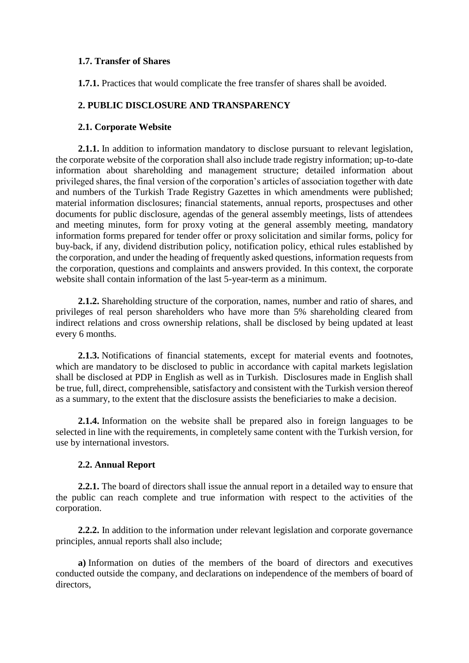# **1.7. Transfer of Shares**

**1.7.1.** Practices that would complicate the free transfer of shares shall be avoided.

# **2. PUBLIC DISCLOSURE AND TRANSPARENCY**

# **2.1. Corporate Website**

**2.1.1.** In addition to information mandatory to disclose pursuant to relevant legislation, the corporate website of the corporation shall also include trade registry information; up-to-date information about shareholding and management structure; detailed information about privileged shares, the final version of the corporation's articles of association together with date and numbers of the Turkish Trade Registry Gazettes in which amendments were published; material information disclosures; financial statements, annual reports, prospectuses and other documents for public disclosure, agendas of the general assembly meetings, lists of attendees and meeting minutes, form for proxy voting at the general assembly meeting, mandatory information forms prepared for tender offer or proxy solicitation and similar forms, policy for buy-back, if any, dividend distribution policy, notification policy, ethical rules established by the corporation, and under the heading of frequently asked questions, information requests from the corporation, questions and complaints and answers provided. In this context, the corporate website shall contain information of the last 5-year-term as a minimum.

**2.1.2.** Shareholding structure of the corporation, names, number and ratio of shares, and privileges of real person shareholders who have more than 5% shareholding cleared from indirect relations and cross ownership relations, shall be disclosed by being updated at least every 6 months.

**2.1.3.** Notifications of financial statements, except for material events and footnotes, which are mandatory to be disclosed to public in accordance with capital markets legislation shall be disclosed at PDP in English as well as in Turkish. Disclosures made in English shall be true, full, direct, comprehensible, satisfactory and consistent with the Turkish version thereof as a summary, to the extent that the disclosure assists the beneficiaries to make a decision.

**2.1.4.** Information on the website shall be prepared also in foreign languages to be selected in line with the requirements, in completely same content with the Turkish version, for use by international investors.

# **2.2. Annual Report**

**2.2.1.** The board of directors shall issue the annual report in a detailed way to ensure that the public can reach complete and true information with respect to the activities of the corporation.

**2.2.2.** In addition to the information under relevant legislation and corporate governance principles, annual reports shall also include;

**a)** Information on duties of the members of the board of directors and executives conducted outside the company, and declarations on independence of the members of board of directors,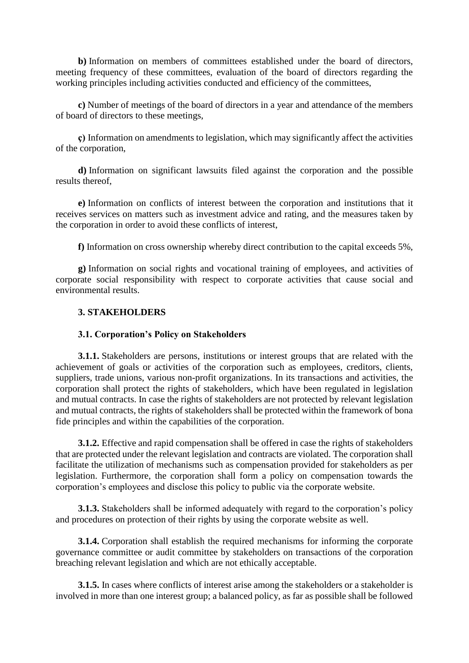**b**) Information on members of committees established under the board of directors, meeting frequency of these committees, evaluation of the board of directors regarding the working principles including activities conducted and efficiency of the committees,

**c)** Number of meetings of the board of directors in a year and attendance of the members of board of directors to these meetings,

**ç)** Information on amendments to legislation, which may significantly affect the activities of the corporation,

**d)** Information on significant lawsuits filed against the corporation and the possible results thereof,

**e)** Information on conflicts of interest between the corporation and institutions that it receives services on matters such as investment advice and rating, and the measures taken by the corporation in order to avoid these conflicts of interest,

**f)** Information on cross ownership whereby direct contribution to the capital exceeds 5%,

**g)** Information on social rights and vocational training of employees, and activities of corporate social responsibility with respect to corporate activities that cause social and environmental results.

## **3. STAKEHOLDERS**

### **3.1. Corporation's Policy on Stakeholders**

**3.1.1.** Stakeholders are persons, institutions or interest groups that are related with the achievement of goals or activities of the corporation such as employees, creditors, clients, suppliers, trade unions, various non-profit organizations. In its transactions and activities, the corporation shall protect the rights of stakeholders, which have been regulated in legislation and mutual contracts. In case the rights of stakeholders are not protected by relevant legislation and mutual contracts, the rights of stakeholders shall be protected within the framework of bona fide principles and within the capabilities of the corporation.

**3.1.2.** Effective and rapid compensation shall be offered in case the rights of stakeholders that are protected under the relevant legislation and contracts are violated. The corporation shall facilitate the utilization of mechanisms such as compensation provided for stakeholders as per legislation. Furthermore, the corporation shall form a policy on compensation towards the corporation's employees and disclose this policy to public via the corporate website.

**3.1.3.** Stakeholders shall be informed adequately with regard to the corporation's policy and procedures on protection of their rights by using the corporate website as well.

**3.1.4.** Corporation shall establish the required mechanisms for informing the corporate governance committee or audit committee by stakeholders on transactions of the corporation breaching relevant legislation and which are not ethically acceptable.

**3.1.5.** In cases where conflicts of interest arise among the stakeholders or a stakeholder is involved in more than one interest group; a balanced policy, as far as possible shall be followed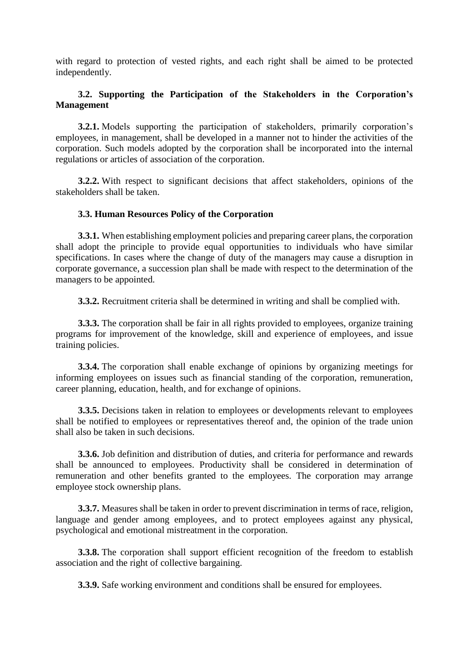with regard to protection of vested rights, and each right shall be aimed to be protected independently.

# **3.2. Supporting the Participation of the Stakeholders in the Corporation's Management**

**3.2.1.** Models supporting the participation of stakeholders, primarily corporation's employees, in management, shall be developed in a manner not to hinder the activities of the corporation. Such models adopted by the corporation shall be incorporated into the internal regulations or articles of association of the corporation.

**3.2.2.** With respect to significant decisions that affect stakeholders, opinions of the stakeholders shall be taken.

## **3.3. Human Resources Policy of the Corporation**

**3.3.1.** When establishing employment policies and preparing career plans, the corporation shall adopt the principle to provide equal opportunities to individuals who have similar specifications. In cases where the change of duty of the managers may cause a disruption in corporate governance, a succession plan shall be made with respect to the determination of the managers to be appointed.

**3.3.2.** Recruitment criteria shall be determined in writing and shall be complied with.

**3.3.3.** The corporation shall be fair in all rights provided to employees, organize training programs for improvement of the knowledge, skill and experience of employees, and issue training policies.

**3.3.4.** The corporation shall enable exchange of opinions by organizing meetings for informing employees on issues such as financial standing of the corporation, remuneration, career planning, education, health, and for exchange of opinions.

**3.3.5.** Decisions taken in relation to employees or developments relevant to employees shall be notified to employees or representatives thereof and, the opinion of the trade union shall also be taken in such decisions.

**3.3.6.** Job definition and distribution of duties, and criteria for performance and rewards shall be announced to employees. Productivity shall be considered in determination of remuneration and other benefits granted to the employees. The corporation may arrange employee stock ownership plans.

**3.3.7.** Measures shall be taken in order to prevent discrimination in terms of race, religion, language and gender among employees, and to protect employees against any physical, psychological and emotional mistreatment in the corporation.

**3.3.8.** The corporation shall support efficient recognition of the freedom to establish association and the right of collective bargaining.

**3.3.9.** Safe working environment and conditions shall be ensured for employees.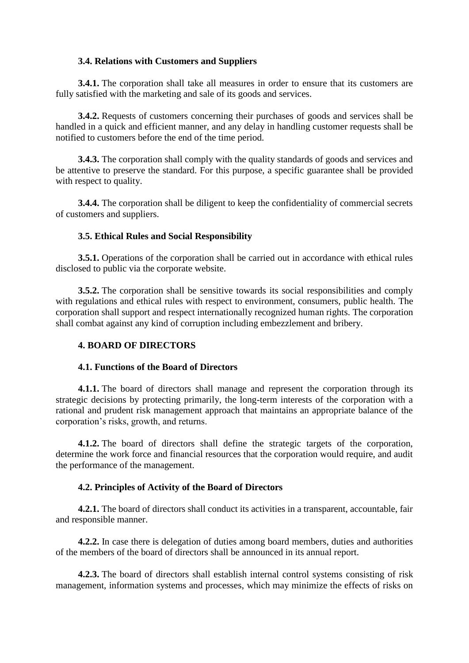# **3.4. Relations with Customers and Suppliers**

**3.4.1.** The corporation shall take all measures in order to ensure that its customers are fully satisfied with the marketing and sale of its goods and services.

**3.4.2.** Requests of customers concerning their purchases of goods and services shall be handled in a quick and efficient manner, and any delay in handling customer requests shall be notified to customers before the end of the time period.

**3.4.3.** The corporation shall comply with the quality standards of goods and services and be attentive to preserve the standard. For this purpose, a specific guarantee shall be provided with respect to quality.

**3.4.4.** The corporation shall be diligent to keep the confidentiality of commercial secrets of customers and suppliers.

# **3.5. Ethical Rules and Social Responsibility**

**3.5.1.** Operations of the corporation shall be carried out in accordance with ethical rules disclosed to public via the corporate website.

**3.5.2.** The corporation shall be sensitive towards its social responsibilities and comply with regulations and ethical rules with respect to environment, consumers, public health. The corporation shall support and respect internationally recognized human rights. The corporation shall combat against any kind of corruption including embezzlement and bribery.

# **4. BOARD OF DIRECTORS**

## **4.1. Functions of the Board of Directors**

**4.1.1.** The board of directors shall manage and represent the corporation through its strategic decisions by protecting primarily, the long-term interests of the corporation with a rational and prudent risk management approach that maintains an appropriate balance of the corporation's risks, growth, and returns.

**4.1.2.** The board of directors shall define the strategic targets of the corporation, determine the work force and financial resources that the corporation would require, and audit the performance of the management.

# **4.2. Principles of Activity of the Board of Directors**

**4.2.1.** The board of directors shall conduct its activities in a transparent, accountable, fair and responsible manner.

**4.2.2.** In case there is delegation of duties among board members, duties and authorities of the members of the board of directors shall be announced in its annual report.

**4.2.3.** The board of directors shall establish internal control systems consisting of risk management, information systems and processes, which may minimize the effects of risks on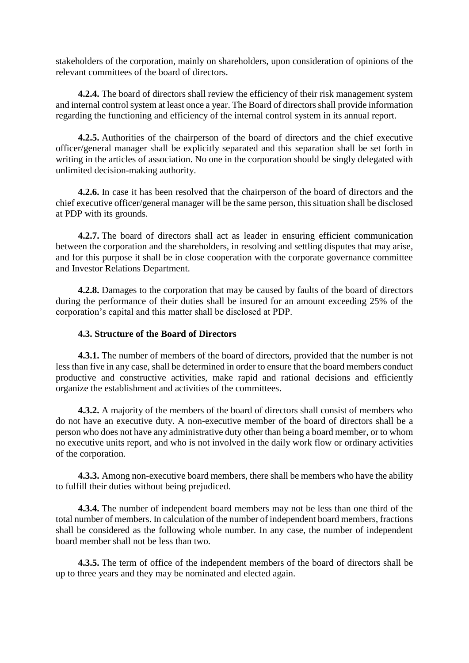stakeholders of the corporation, mainly on shareholders, upon consideration of opinions of the relevant committees of the board of directors.

**4.2.4.** The board of directors shall review the efficiency of their risk management system and internal control system at least once a year. The Board of directors shall provide information regarding the functioning and efficiency of the internal control system in its annual report.

**4.2.5.** Authorities of the chairperson of the board of directors and the chief executive officer/general manager shall be explicitly separated and this separation shall be set forth in writing in the articles of association. No one in the corporation should be singly delegated with unlimited decision-making authority.

**4.2.6.** In case it has been resolved that the chairperson of the board of directors and the chief executive officer/general manager will be the same person, this situation shall be disclosed at PDP with its grounds.

**4.2.7.** The board of directors shall act as leader in ensuring efficient communication between the corporation and the shareholders, in resolving and settling disputes that may arise, and for this purpose it shall be in close cooperation with the corporate governance committee and Investor Relations Department.

**4.2.8.** Damages to the corporation that may be caused by faults of the board of directors during the performance of their duties shall be insured for an amount exceeding 25% of the corporation's capital and this matter shall be disclosed at PDP.

## **4.3. Structure of the Board of Directors**

**4.3.1.** The number of members of the board of directors, provided that the number is not less than five in any case, shall be determined in order to ensure that the board members conduct productive and constructive activities, make rapid and rational decisions and efficiently organize the establishment and activities of the committees.

**4.3.2.** A majority of the members of the board of directors shall consist of members who do not have an executive duty. A non-executive member of the board of directors shall be a person who does not have any administrative duty other than being a board member, or to whom no executive units report, and who is not involved in the daily work flow or ordinary activities of the corporation.

**4.3.3.** Among non-executive board members, there shall be members who have the ability to fulfill their duties without being prejudiced.

**4.3.4.** The number of independent board members may not be less than one third of the total number of members. In calculation of the number of independent board members, fractions shall be considered as the following whole number. In any case, the number of independent board member shall not be less than two.

**4.3.5.** The term of office of the independent members of the board of directors shall be up to three years and they may be nominated and elected again.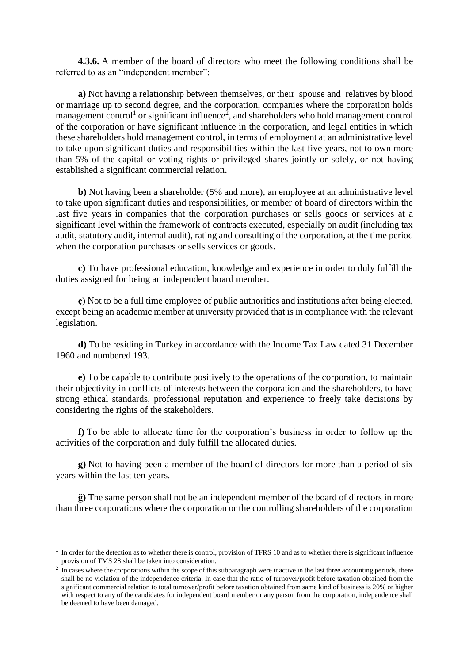**4.3.6.** A member of the board of directors who meet the following conditions shall be referred to as an "independent member":

**a)** Not having a relationship between themselves, or their spouse and relatives by blood or marriage up to second degree, and the corporation, companies where the corporation holds management control<sup>1</sup> or significant influence<sup>2</sup>, and shareholders who hold management control of the corporation or have significant influence in the corporation, and legal entities in which these shareholders hold management control, in terms of employment at an administrative level to take upon significant duties and responsibilities within the last five years, not to own more than 5% of the capital or voting rights or privileged shares jointly or solely, or not having established a significant commercial relation.

**b)** Not having been a shareholder (5% and more), an employee at an administrative level to take upon significant duties and responsibilities, or member of board of directors within the last five years in companies that the corporation purchases or sells goods or services at a significant level within the framework of contracts executed, especially on audit (including tax audit, statutory audit, internal audit), rating and consulting of the corporation, at the time period when the corporation purchases or sells services or goods.

**c)** To have professional education, knowledge and experience in order to duly fulfill the duties assigned for being an independent board member.

**ç)** Not to be a full time employee of public authorities and institutions after being elected, except being an academic member at university provided that is in compliance with the relevant legislation.

**d)** To be residing in Turkey in accordance with the Income Tax Law dated 31 December 1960 and numbered 193.

**e)** To be capable to contribute positively to the operations of the corporation, to maintain their objectivity in conflicts of interests between the corporation and the shareholders, to have strong ethical standards, professional reputation and experience to freely take decisions by considering the rights of the stakeholders.

**f)** To be able to allocate time for the corporation's business in order to follow up the activities of the corporation and duly fulfill the allocated duties.

**g)** Not to having been a member of the board of directors for more than a period of six years within the last ten years.

**ğ)** The same person shall not be an independent member of the board of directors in more than three corporations where the corporation or the controlling shareholders of the corporation

1

<sup>&</sup>lt;sup>1</sup> In order for the detection as to whether there is control, provision of TFRS 10 and as to whether there is significant influence provision of TMS 28 shall be taken into consideration.

<sup>&</sup>lt;sup>2</sup> In cases where the corporations within the scope of this subparagraph were inactive in the last three accounting periods, there shall be no violation of the independence criteria. In case that the ratio of turnover/profit before taxation obtained from the significant commercial relation to total turnover/profit before taxation obtained from same kind of business is 20% or higher with respect to any of the candidates for independent board member or any person from the corporation, independence shall be deemed to have been damaged.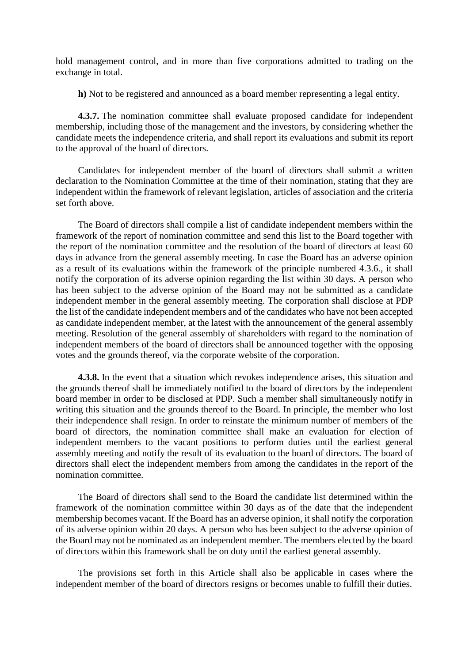hold management control, and in more than five corporations admitted to trading on the exchange in total.

**h)** Not to be registered and announced as a board member representing a legal entity.

**4.3.7.** The nomination committee shall evaluate proposed candidate for independent membership, including those of the management and the investors, by considering whether the candidate meets the independence criteria, and shall report its evaluations and submit its report to the approval of the board of directors.

Candidates for independent member of the board of directors shall submit a written declaration to the Nomination Committee at the time of their nomination, stating that they are independent within the framework of relevant legislation, articles of association and the criteria set forth above.

The Board of directors shall compile a list of candidate independent members within the framework of the report of nomination committee and send this list to the Board together with the report of the nomination committee and the resolution of the board of directors at least 60 days in advance from the general assembly meeting. In case the Board has an adverse opinion as a result of its evaluations within the framework of the principle numbered 4.3.6., it shall notify the corporation of its adverse opinion regarding the list within 30 days. A person who has been subject to the adverse opinion of the Board may not be submitted as a candidate independent member in the general assembly meeting. The corporation shall disclose at PDP the list of the candidate independent members and of the candidates who have not been accepted as candidate independent member, at the latest with the announcement of the general assembly meeting. Resolution of the general assembly of shareholders with regard to the nomination of independent members of the board of directors shall be announced together with the opposing votes and the grounds thereof, via the corporate website of the corporation.

**4.3.8.** In the event that a situation which revokes independence arises, this situation and the grounds thereof shall be immediately notified to the board of directors by the independent board member in order to be disclosed at PDP. Such a member shall simultaneously notify in writing this situation and the grounds thereof to the Board. In principle, the member who lost their independence shall resign. In order to reinstate the minimum number of members of the board of directors, the nomination committee shall make an evaluation for election of independent members to the vacant positions to perform duties until the earliest general assembly meeting and notify the result of its evaluation to the board of directors. The board of directors shall elect the independent members from among the candidates in the report of the nomination committee.

The Board of directors shall send to the Board the candidate list determined within the framework of the nomination committee within 30 days as of the date that the independent membership becomes vacant. If the Board has an adverse opinion, it shall notify the corporation of its adverse opinion within 20 days. A person who has been subject to the adverse opinion of the Board may not be nominated as an independent member. The members elected by the board of directors within this framework shall be on duty until the earliest general assembly.

The provisions set forth in this Article shall also be applicable in cases where the independent member of the board of directors resigns or becomes unable to fulfill their duties.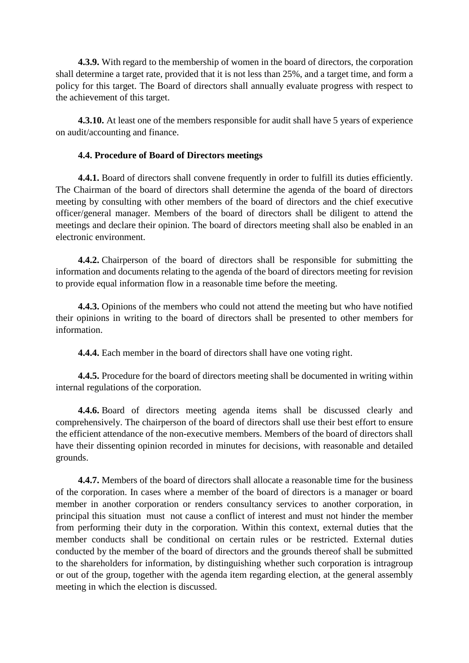**4.3.9.** With regard to the membership of women in the board of directors, the corporation shall determine a target rate, provided that it is not less than 25%, and a target time, and form a policy for this target. The Board of directors shall annually evaluate progress with respect to the achievement of this target.

**4.3.10.** At least one of the members responsible for audit shall have 5 years of experience on audit/accounting and finance.

# **4.4. Procedure of Board of Directors meetings**

**4.4.1.** Board of directors shall convene frequently in order to fulfill its duties efficiently. The Chairman of the board of directors shall determine the agenda of the board of directors meeting by consulting with other members of the board of directors and the chief executive officer/general manager. Members of the board of directors shall be diligent to attend the meetings and declare their opinion. The board of directors meeting shall also be enabled in an electronic environment.

**4.4.2.** Chairperson of the board of directors shall be responsible for submitting the information and documents relating to the agenda of the board of directors meeting for revision to provide equal information flow in a reasonable time before the meeting.

**4.4.3.** Opinions of the members who could not attend the meeting but who have notified their opinions in writing to the board of directors shall be presented to other members for information.

**4.4.4.** Each member in the board of directors shall have one voting right.

**4.4.5.** Procedure for the board of directors meeting shall be documented in writing within internal regulations of the corporation.

**4.4.6.** Board of directors meeting agenda items shall be discussed clearly and comprehensively. The chairperson of the board of directors shall use their best effort to ensure the efficient attendance of the non-executive members. Members of the board of directors shall have their dissenting opinion recorded in minutes for decisions, with reasonable and detailed grounds.

**4.4.7.** Members of the board of directors shall allocate a reasonable time for the business of the corporation. In cases where a member of the board of directors is a manager or board member in another corporation or renders consultancy services to another corporation, in principal this situation must not cause a conflict of interest and must not hinder the member from performing their duty in the corporation. Within this context, external duties that the member conducts shall be conditional on certain rules or be restricted. External duties conducted by the member of the board of directors and the grounds thereof shall be submitted to the shareholders for information, by distinguishing whether such corporation is intragroup or out of the group, together with the agenda item regarding election, at the general assembly meeting in which the election is discussed.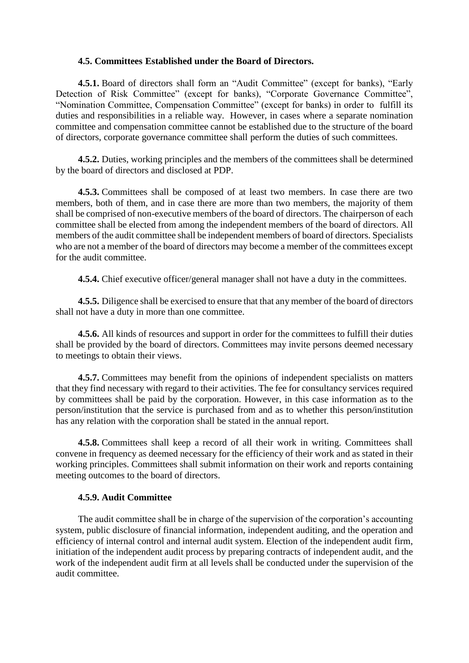### **4.5. Committees Established under the Board of Directors.**

**4.5.1.** Board of directors shall form an "Audit Committee" (except for banks), "Early Detection of Risk Committee" (except for banks), "Corporate Governance Committee", "Nomination Committee, Compensation Committee" (except for banks) in order to fulfill its duties and responsibilities in a reliable way. However, in cases where a separate nomination committee and compensation committee cannot be established due to the structure of the board of directors, corporate governance committee shall perform the duties of such committees.

**4.5.2.** Duties, working principles and the members of the committees shall be determined by the board of directors and disclosed at PDP.

**4.5.3.** Committees shall be composed of at least two members. In case there are two members, both of them, and in case there are more than two members, the majority of them shall be comprised of non-executive members of the board of directors. The chairperson of each committee shall be elected from among the independent members of the board of directors. All members of the audit committee shall be independent members of board of directors. Specialists who are not a member of the board of directors may become a member of the committees except for the audit committee.

**4.5.4.** Chief executive officer/general manager shall not have a duty in the committees.

**4.5.5.** Diligence shall be exercised to ensure that that any member of the board of directors shall not have a duty in more than one committee.

**4.5.6.** All kinds of resources and support in order for the committees to fulfill their duties shall be provided by the board of directors. Committees may invite persons deemed necessary to meetings to obtain their views.

**4.5.7.** Committees may benefit from the opinions of independent specialists on matters that they find necessary with regard to their activities. The fee for consultancy services required by committees shall be paid by the corporation. However, in this case information as to the person/institution that the service is purchased from and as to whether this person/institution has any relation with the corporation shall be stated in the annual report.

**4.5.8.** Committees shall keep a record of all their work in writing. Committees shall convene in frequency as deemed necessary for the efficiency of their work and as stated in their working principles. Committees shall submit information on their work and reports containing meeting outcomes to the board of directors.

### **4.5.9. Audit Committee**

The audit committee shall be in charge of the supervision of the corporation's accounting system, public disclosure of financial information, independent auditing, and the operation and efficiency of internal control and internal audit system. Election of the independent audit firm, initiation of the independent audit process by preparing contracts of independent audit, and the work of the independent audit firm at all levels shall be conducted under the supervision of the audit committee.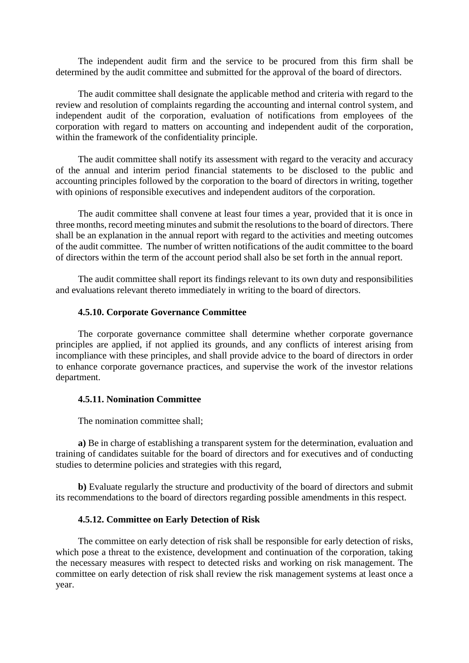The independent audit firm and the service to be procured from this firm shall be determined by the audit committee and submitted for the approval of the board of directors.

The audit committee shall designate the applicable method and criteria with regard to the review and resolution of complaints regarding the accounting and internal control system, and independent audit of the corporation, evaluation of notifications from employees of the corporation with regard to matters on accounting and independent audit of the corporation, within the framework of the confidentiality principle.

The audit committee shall notify its assessment with regard to the veracity and accuracy of the annual and interim period financial statements to be disclosed to the public and accounting principles followed by the corporation to the board of directors in writing, together with opinions of responsible executives and independent auditors of the corporation.

The audit committee shall convene at least four times a year, provided that it is once in three months, record meeting minutes and submit the resolutions to the board of directors. There shall be an explanation in the annual report with regard to the activities and meeting outcomes of the audit committee. The number of written notifications of the audit committee to the board of directors within the term of the account period shall also be set forth in the annual report.

The audit committee shall report its findings relevant to its own duty and responsibilities and evaluations relevant thereto immediately in writing to the board of directors.

### **4.5.10. Corporate Governance Committee**

The corporate governance committee shall determine whether corporate governance principles are applied, if not applied its grounds, and any conflicts of interest arising from incompliance with these principles, and shall provide advice to the board of directors in order to enhance corporate governance practices, and supervise the work of the investor relations department.

### **4.5.11. Nomination Committee**

The nomination committee shall;

**a)** Be in charge of establishing a transparent system for the determination, evaluation and training of candidates suitable for the board of directors and for executives and of conducting studies to determine policies and strategies with this regard,

**b)** Evaluate regularly the structure and productivity of the board of directors and submit its recommendations to the board of directors regarding possible amendments in this respect.

### **4.5.12. Committee on Early Detection of Risk**

The committee on early detection of risk shall be responsible for early detection of risks, which pose a threat to the existence, development and continuation of the corporation, taking the necessary measures with respect to detected risks and working on risk management. The committee on early detection of risk shall review the risk management systems at least once a year.